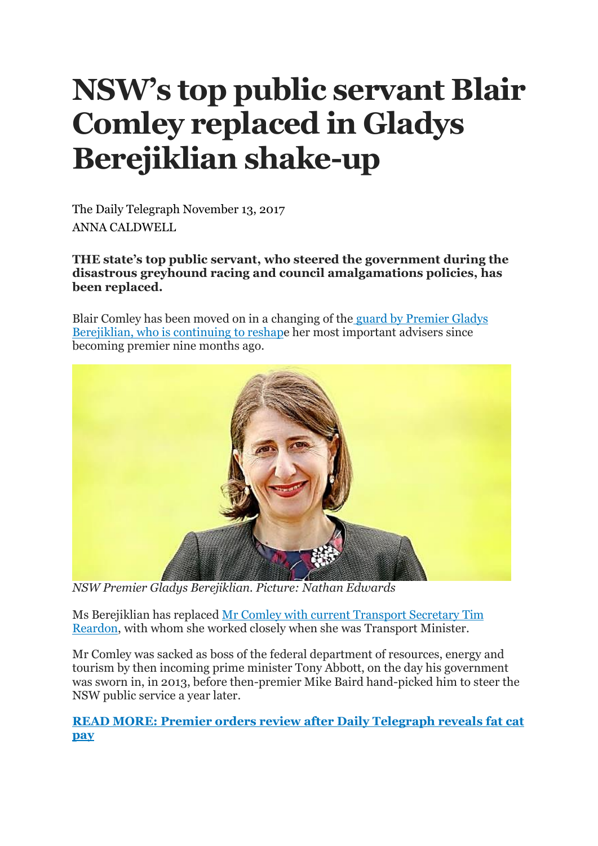## **NSW's top public servant Blair Comley replaced in Gladys Berejiklian shake-up**

The Daily Telegraph November 13, 2017 ANNA CALDWELL

**THE state's top public servant, who steered the government during the disastrous greyhound racing and council amalgamations policies, has been replaced.**

Blair Comley has been moved on in a changing of the guard by [Premier](http://www.dailytelegraph.com.au/business/gladys-berejiklian-turns-her-back-on-policy-backflips-business-assured/news-story/ef20c3cf469ff3cbdb2cdaa697422ead) Gladys [Berejiklian,](http://www.dailytelegraph.com.au/business/gladys-berejiklian-turns-her-back-on-policy-backflips-business-assured/news-story/ef20c3cf469ff3cbdb2cdaa697422ead) who is continuing to reshape her most important advisers since becoming premier nine months ago.



*NSW Premier Gladys Berejiklian. Picture: Nathan Edwards*

Ms Berejiklian has replaced Mr Comley with current [Transport](http://www.dailytelegraph.com.au/news/nsw/baird-takes-bureaucrats-on-80000-threeday-retreat-to-reflect-on-bungles/news-story/600eb77bd9beff227985bd27019951af) Secretary Tim [Reardon,](http://www.dailytelegraph.com.au/news/nsw/baird-takes-bureaucrats-on-80000-threeday-retreat-to-reflect-on-bungles/news-story/600eb77bd9beff227985bd27019951af) with whom she worked closely when she was Transport Minister.

Mr Comley was sacked as boss of the federal department of resources, energy and tourism by then incoming prime minister Tony Abbott, on the day his government was sworn in, in 2013, before then-premier Mike Baird hand-picked him to steer the NSW public service a year later.

**READ MORE: Premier orders review after Daily [Telegraph](http://www.dailytelegraph.com.au/news/nsw/premier-orders-review-after-we-reveal-fat-cats-70k-move-cost/news-story/209d9def8a397e949eda3e2b5562392f) reveals fat cat [pay](http://www.dailytelegraph.com.au/news/nsw/premier-orders-review-after-we-reveal-fat-cats-70k-move-cost/news-story/209d9def8a397e949eda3e2b5562392f)**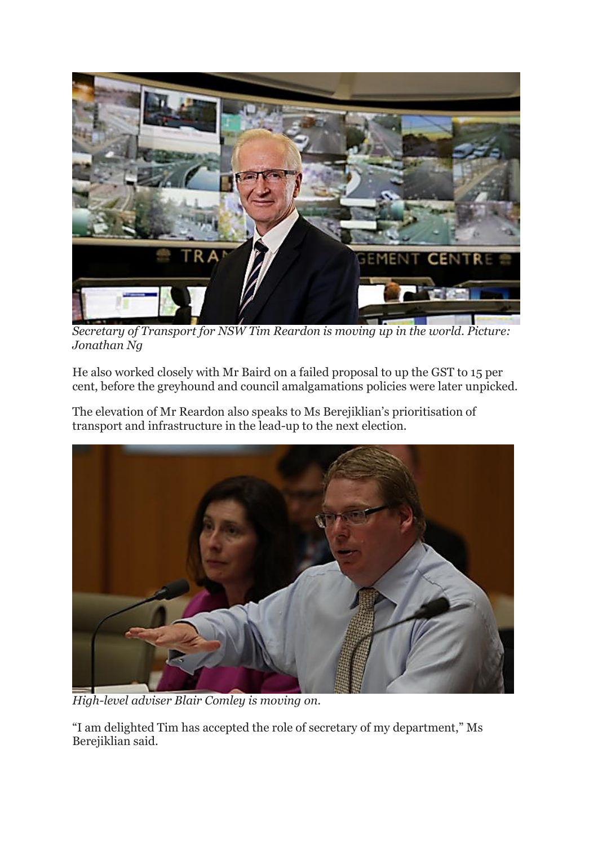

*Secretary of Transport for NSW Tim Reardon is moving up in the world. Picture: Jonathan Ng*

He also worked closely with Mr Baird on a failed proposal to up the GST to 15 per cent, before the greyhound and council amalgamations policies were later unpicked.

The elevation of Mr Reardon also speaks to Ms Berejiklian's prioritisation of transport and infrastructure in the lead-up to the next election.



*High-level adviser Blair Comley is moving on.*

"I am delighted Tim has accepted the role of secretary of my department," Ms Berejiklian said.